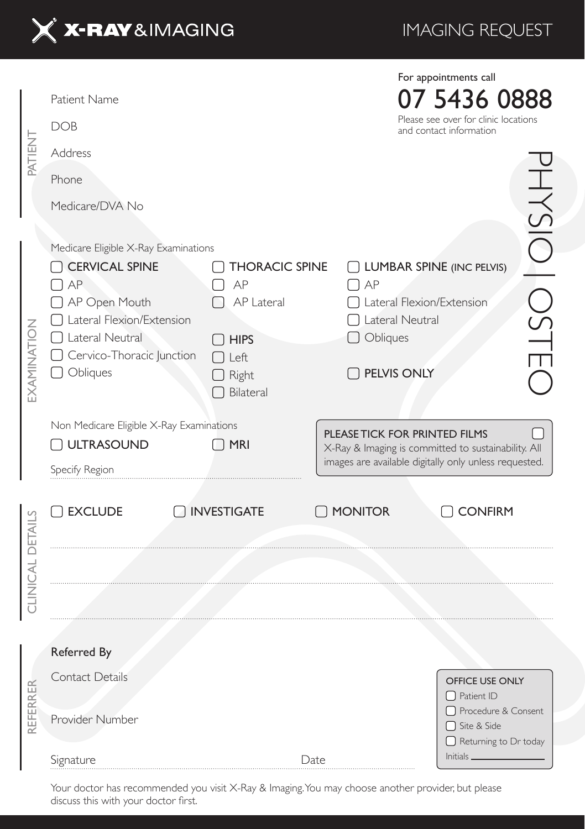

IMAGING REQUEST

|                  | Patient Name<br><b>DOB</b>                                                                                                                                                      |                                                                                                   | For appointments call<br>7 5436 0888<br>Please see over for clinic locations<br>and contact information                 |                                                                        |                      |
|------------------|---------------------------------------------------------------------------------------------------------------------------------------------------------------------------------|---------------------------------------------------------------------------------------------------|-------------------------------------------------------------------------------------------------------------------------|------------------------------------------------------------------------|----------------------|
| PATIENT          | Address                                                                                                                                                                         |                                                                                                   |                                                                                                                         |                                                                        |                      |
|                  | Phone                                                                                                                                                                           |                                                                                                   |                                                                                                                         |                                                                        |                      |
|                  | Medicare/DVA No                                                                                                                                                                 |                                                                                                   |                                                                                                                         |                                                                        |                      |
| EXAMINATION      | Medicare Eligible X-Ray Examinations<br>CERVICAL SPINE<br>AP<br>AP Open Mouth<br>Lateral Flexion/Extension<br>$\Box$ Lateral Neutral<br>Cervico-Thoracic Junction<br>O Obliques | <b>THORACIC SPINE</b><br>AP<br>AP Lateral<br>$\sqcap$ hips<br>T Left<br>$\Box$ Right<br>Bilateral | <b>UMBAR SPINE (INC PELVIS)</b><br>AP<br>Lateral Flexion/Extension<br>Lateral Neutral<br>$\Box$ Obliques<br>PELVIS ONLY |                                                                        | <b>INSIO</b><br>OSTE |
|                  | Non Medicare Eligible X-Ray Examinations<br><b>ULTRASOUND</b>                                                                                                                   | $\bigcap$ MRI                                                                                     | PLEASE TICK FOR PRINTED FILMS                                                                                           |                                                                        |                      |
|                  | Specify Region                                                                                                                                                                  |                                                                                                   | X-Ray & Imaging is committed to sustainability. All<br>images are available digitally only unless requested.            |                                                                        |                      |
| CLINICAL DETAILS | EXCLUDE                                                                                                                                                                         | <b>NVESTIGATE</b>                                                                                 | O MONITOR                                                                                                               | <b>CONFIRM</b>                                                         |                      |
|                  |                                                                                                                                                                                 |                                                                                                   |                                                                                                                         |                                                                        |                      |
| REFERRER         | Referred By                                                                                                                                                                     |                                                                                                   |                                                                                                                         |                                                                        |                      |
|                  | Contact Details                                                                                                                                                                 |                                                                                                   |                                                                                                                         | OFFICE USE ONLY<br>$\Box$ Patient ID                                   |                      |
|                  | Provider Number                                                                                                                                                                 |                                                                                                   |                                                                                                                         | □ Procedure & Consent<br>□ Site & Side<br>$\Box$ Returning to Dr today |                      |
|                  | Signature                                                                                                                                                                       | Date                                                                                              |                                                                                                                         | Initials_                                                              |                      |

Your doctor has recommended you visit X-Ray & Imaging. You may choose another provider, but please discuss this with your doctor first.